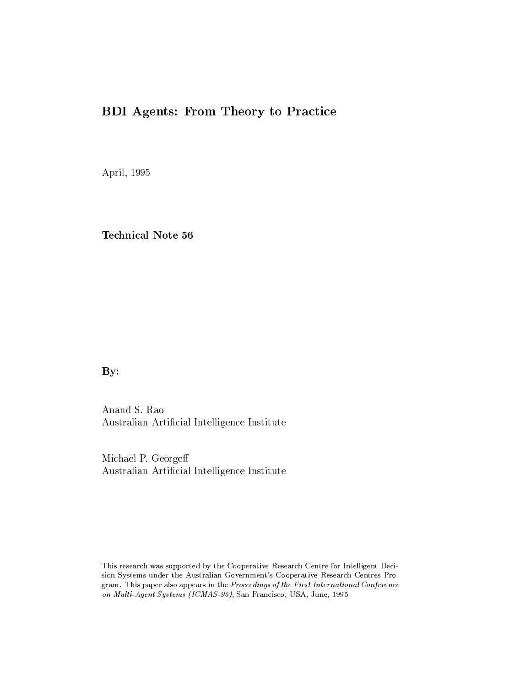# **BDI Agents: From Theory to Practice**

April, 1995

**Technical Note 56** 

# By:

Anand S. Rao Australian Artificial Intelligence Institute

Michael P. Georgeff Australian Artificial Intelligence Institute

This research was supported by the Cooperative Research Centre for Intelligent Decision Systems under the Australian Government's Cooperative Research Centres Program. This paper also appears in the Proceedings of the First International Conference on Multi-Agent Systems (ICMAS-95), San Francisco, USA, June, 1995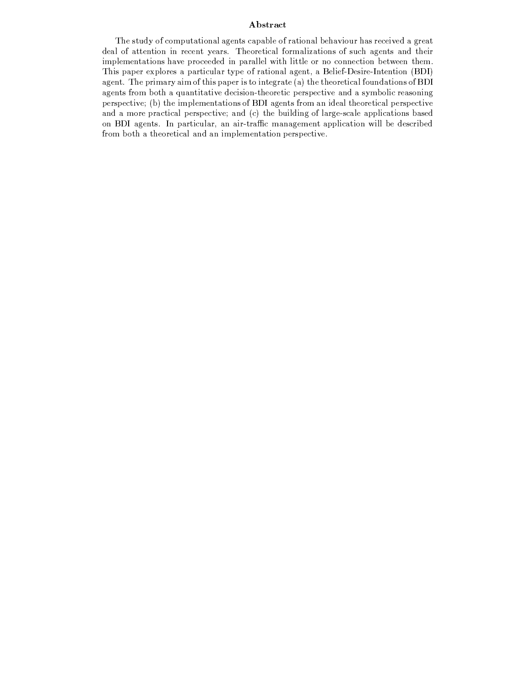### Abstract

The study of computational agents capable of rational behaviour has received a great deal of attention in recent years. Theoretical formalizations of such agents and their implementations have proceeded in parallel with little or no connection between them. This paper explores a particular type of rational agent, a Belief-Desire-Intention (BDI) agent. The primary aim of this paper is to integrate (a) the theoretical foundations of BDI agents from both a quantitative decision-theoretic perspective and a symbolic reasoning perspective; (b) the implementations of BDI agents from an ideal theoretical perspective and a more practical perspective; and (c) the building of large-scale applications based on BDI agents. In particular, an air-traffic management application will be described from both a theoretical and an implementation perspective.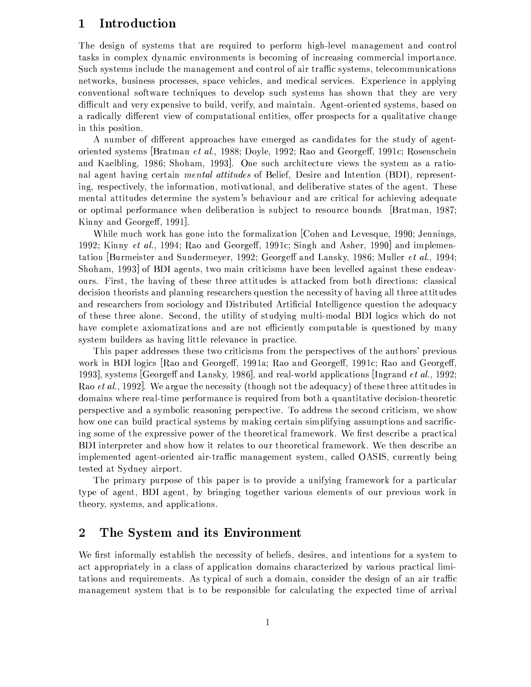#### Introduction  $\mathbf{1}$

The design of systems that are required to perform high-level management and control tasks in complex dynamic environments is becoming of increasing commercial importance. Such systems include the management and control of air traffic systems, telecommunications networks, business processes, space vehicles, and medical services. Experience in applying conventional software techniques to develop such systems has shown that they are very difficult and very expensive to build, verify, and maintain. Agent-oriented systems, based on a radically different view of computational entities, offer prospects for a qualitative change in this position.

A number of different approaches have emerged as candidates for the study of agentoriented systems [Bratman et al., 1988; Doyle, 1992; Rao and Georgeff, 1991c; Rosenschein and Kaelbling, 1986; Shoham, 1993. One such architecture views the system as a rational agent having certain *mental attitudes* of Belief, Desire and Intention (BDI), representing, respectively, the information, motivational, and deliberative states of the agent. These mental attitudes determine the system's behaviour and are critical for achieving adequate or optimal performance when deliberation is subject to resource bounds [Bratman, 1987; Kinny and Georgeff, 1991.

While much work has gone into the formalization Cohen and Levesque, 1990; Jennings, 1992; Kinny et al., 1994; Rao and Georgeff, 1991c; Singh and Asher, 1990] and implementation Burmeister and Sundermeyer, 1992; Georgeff and Lansky, 1986; Muller *et al.*, 1994; Shoham, 1993 of BDI agents, two main criticisms have been levelled against these endeavours. First, the having of these three attitudes is attacked from both directions: classical decision theorists and planning researchers question the necessity of having all three attitudes and researchers from sociology and Distributed Artificial Intelligence question the adequacy of these three alone. Second, the utility of studying multi-modal BDI logics which do not have complete axiomatizations and are not efficiently computable is questioned by many system builders as having little relevance in practice.

This paper addresses these two criticisms from the perspectives of the authors' previous work in BDI logics [Rao and Georgeff, 1991a; Rao and Georgeff, 1991c; Rao and Georgeff, 1993, systems Georgeff and Lansky, 1986, and real-world applications Ingrand *et al.*, 1992; Rao et al., 1992. We argue the necessity (though not the adequacy) of these three attitudes in domains where real-time performance is required from both a quantitative decision-theoretic perspective and a symbolic reasoning perspective. To address the second criticism, we show how one can build practical systems by making certain simplifying assumptions and sacrificing some of the expressive power of the theoretical framework. We first describe a practical BDI interpreter and show how it relates to our theoretical framework. We then describe an implemented agent-oriented air-traffic management system, called OASIS, currently being tested at Sydney airport.

The primary purpose of this paper is to provide a unifying framework for a particular type of agent, BDI agent, by bringing together various elements of our previous work in theory, systems, and applications.

#### The System and its Environment  $\overline{2}$

We first informally establish the necessity of beliefs, desires, and intentions for a system to act appropriately in a class of application domains characterized by various practical limitations and requirements. As typical of such a domain, consider the design of an air traffic management system that is to be responsible for calculating the expected time of arrival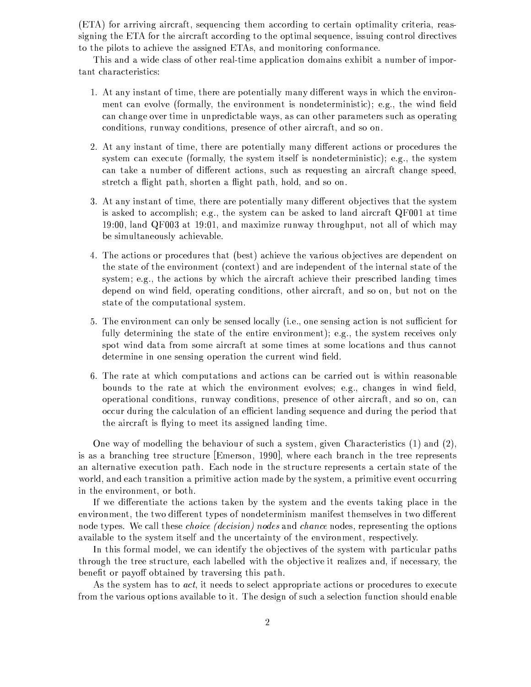(ETA) for arriving aircraft, sequencing them according to certain optimality criteria, reassigning the ETA for the aircraft according to the optimal sequence, issuing control directives to the pilots to achieve the assigned ETAs, and monitoring conformance.

This and a wide class of other real-time application domains exhibit a number of important characteristics:

- 1. At any instant of time, there are potentially many different ways in which the environment can evolve (formally, the environment is nondeterministic); e.g., the wind field can change over time in unpredictable ways, as can other parameters such as operating conditions, runway conditions, presence of other aircraft, and so on.
- 2. At any instant of time, there are potentially many different actions or procedures the system can execute (formally, the system itself is nondeterministic); e.g., the system can take a number of different actions, such as requesting an aircraft change speed, stretch a flight path, shorten a flight path, hold, and so on.
- 3. At any instant of time, there are potentially many different objectives that the system is asked to accomplish; e.g., the system can be asked to land aircraft QF001 at time 19:00, land QF003 at 19:01, and maximize runway throughput, not all of which may be simultaneously achievable.
- 4. The actions or procedures that (best) achieve the various objectives are dependent on the state of the environment (context) and are independent of the internal state of the system; e.g., the actions by which the aircraft achieve their prescribed landing times depend on wind field, operating conditions, other aircraft, and so on, but not on the state of the computational system.
- 5. The environment can only be sensed locally (i.e., one sensing action is not sufficient for fully determining the state of the entire environment); e.g., the system receives only spot wind data from some aircraft at some times at some locations and thus cannot determine in one sensing operation the current wind field.
- 6. The rate at which computations and actions can be carried out is within reasonable bounds to the rate at which the environment evolves; e.g., changes in wind field, operational conditions, runway conditions, presence of other aircraft, and so on, can occur during the calculation of an efficient landing sequence and during the period that the aircraft is flying to meet its assigned landing time.

One way of modelling the behaviour of such a system, given Characteristics  $(1)$  and  $(2)$ , is as a branching tree structure Emerson, 1990, where each branch in the tree represents an alternative execution path. Each node in the structure represents a certain state of the world, and each transition a primitive action made by the system, a primitive event occurring in the environment, or both.

If we differentiate the actions taken by the system and the events taking place in the environment, the two different types of nondeterminism manifest themselves in two different node types. We call these *choice (decision)* nodes and *chance* nodes, representing the options available to the system itself and the uncertainty of the environment, respectively.

In this formal model, we can identify the objectives of the system with particular paths through the tree structure, each labelled with the objective it realizes and, if necessary, the benefit or payoff obtained by traversing this path.

As the system has to *act*, it needs to select appropriate actions or procedures to execute from the various options available to it. The design of such a selection function should enable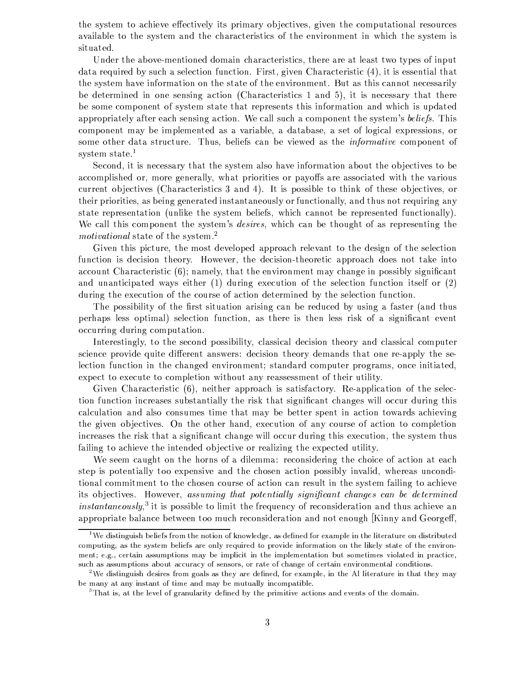the system to achieve effectively its primary objectives, given the computational resources available to the system and the characteristics of the environment in which the system is situated.

Under the above-mentioned domain characteristics, there are at least two types of input data required by such a selection function. First, given Characteristic (4), it is essential that the system have information on the state of the environment. But as this cannot necessarily be determined in one sensing action (Characteristics 1 and 5), it is necessary that there be some component of system state that represents this information and which is updated appropriately after each sensing action. We call such a component the system's beliefs. This component may be implemented as a variable, a database, a set of logical expressions, or some other data structure. Thus, beliefs can be viewed as the *informative* component of system state.<sup>1</sup>

Second, it is necessary that the system also have information about the objectives to be accomplished or, more generally, what priorities or payoffs are associated with the various current objectives (Characteristics 3 and 4). It is possible to think of these objectives, or their priorities, as being generated instantaneously or functionally, and thus not requiring any state representation (unlike the system beliefs, which cannot be represented functionally). We call this component the system's *desires*, which can be thought of as representing the *motivational* state of the system.<sup>2</sup>

Given this picture, the most developed approach relevant to the design of the selection function is decision theory. However, the decision-theoretic approach does not take into account Characteristic  $(6)$ ; namely, that the environment may change in possibly significant and unanticipated ways either  $(1)$  during execution of the selection function itself or  $(2)$ during the execution of the course of action determined by the selection function.

The possibility of the first situation arising can be reduced by using a faster (and thus perhaps less optimal) selection function, as there is then less risk of a significant event occurring during computation.

Interestingly, to the second possibility, classical decision theory and classical computer science provide quite different answers: decision theory demands that one re-apply the selection function in the changed environment; standard computer programs, once initiated, expect to execute to completion without any reassessment of their utility.

Given Characteristic  $(6)$ , neither approach is satisfactory. Re-application of the selection function increases substantially the risk that significant changes will occur during this calculation and also consumes time that may be better spent in action towards achieving the given objectives. On the other hand, execution of any course of action to completion increases the risk that a significant change will occur during this execution, the system thus failing to achieve the intended objective or realizing the expected utility.

We seem caught on the horns of a dilemma: reconsidering the choice of action at each step is potentially too expensive and the chosen action possibly invalid, whereas unconditional commitment to the chosen course of action can result in the system failing to achieve its objectives. However, assuming that potentially significant changes can be determined *instantaneously*,<sup>3</sup> it is possible to limit the frequency of reconsideration and thus achieve an appropriate balance between too much reconsideration and not enough [Kinny and Georgeff,

 $1$ We distinguish beliefs from the notion of knowledge, as defined for example in the literature on distributed computing, as the system beliefs are only required to provide information on the likely state of the environment; e.g., certain assumptions may be implicit in the implementation but sometimes violated in practice, such as assumptions about accuracy of sensors, or rate of change of certain environmental conditions.

<sup>&</sup>lt;sup>2</sup>We distinguish desires from goals as they are defined, for example, in the AI literature in that they may be many at any instant of time and may be mutually incompatible.

<sup>&</sup>lt;sup>3</sup>That is, at the level of granularity defined by the primitive actions and events of the domain.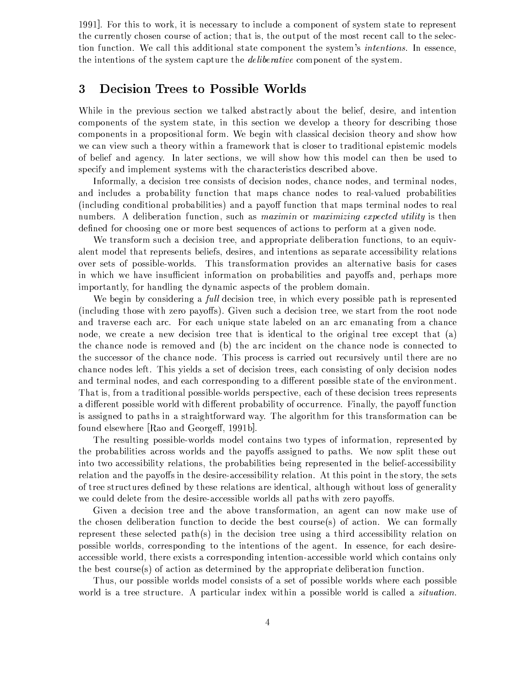1991. For this to work, it is necessary to include a component of system state to represent the currently chosen course of action; that is, the output of the most recent call to the selection function. We call this additional state component the system's *intentions*. In essence, the intentions of the system capture the *deliberative* component of the system.

#### 3 Decision Trees to Possible Worlds

While in the previous section we talked abstractly about the belief, desire, and intention components of the system state, in this section we develop a theory for describing those components in a propositional form. We begin with classical decision theory and show how we can view such a theory within a framework that is closer to traditional epistemic models of belief and agency. In later sections, we will show how this model can then be used to specify and implement systems with the characteristics described above.

Informally, a decision tree consists of decision nodes, chance nodes, and terminal nodes, and includes a probability function that maps chance nodes to real-valued probabilities (including conditional probabilities) and a payoff function that maps terminal nodes to real numbers. A deliberation function, such as maximin or maximizing expected utility is then defined for choosing one or more best sequences of actions to perform at a given node.

We transform such a decision tree, and appropriate deliberation functions, to an equivalent model that represents beliefs, desires, and intentions as separate accessibility relations over sets of possible-worlds. This transformation provides an alternative basis for cases in which we have insufficient information on probabilities and payoffs and, perhaps more importantly, for handling the dynamic aspects of the problem domain.

We begin by considering a *full* decision tree, in which every possible path is represented (including those with zero payoffs). Given such a decision tree, we start from the root node and traverse each arc. For each unique state labeled on an arc emanating from a chance node, we create a new decision tree that is identical to the original tree except that (a) the chance node is removed and (b) the arc incident on the chance node is connected to the successor of the chance node. This process is carried out recursively until there are no chance nodes left. This yields a set of decision trees, each consisting of only decision nodes and terminal nodes, and each corresponding to a different possible state of the environment. That is, from a traditional possible-worlds perspective, each of these decision trees represents a different possible world with different probability of occurrence. Finally, the payoff function is assigned to paths in a straightforward way. The algorithm for this transformation can be found elsewhere [Rao and Georgeff, 1991b].

The resulting possible-worlds model contains two types of information, represented by the probabilities across worlds and the payoffs assigned to paths. We now split these out into two accessibility relations, the probabilities being represented in the belief-accessibility relation and the payoffs in the desire-accessibility relation. At this point in the story, the sets of tree structures defined by these relations are identical, although without loss of generality we could delete from the desire-accessible worlds all paths with zero payoffs.

Given a decision tree and the above transformation, an agent can now make use of the chosen deliberation function to decide the best course(s) of action. We can formally represent these selected path(s) in the decision tree using a third accessibility relation on possible worlds, corresponding to the intentions of the agent. In essence, for each desireaccessible world, there exists a corresponding intention-accessible world which contains only the best course(s) of action as determined by the appropriate deliberation function.

Thus, our possible worlds model consists of a set of possible worlds where each possible world is a tree structure. A particular index within a possible world is called a *situation*.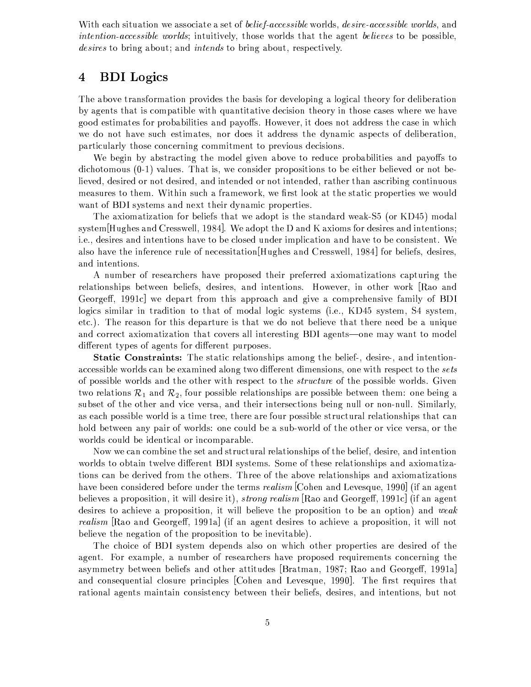With each situation we associate a set of *belief-accessible* worlds, *desire-accessible worlds*, and *intention-accessible worlds*; intuitively, those worlds that the agent *believes* to be possible, *desires* to bring about; and *intends* to bring about, respectively.

### **BDI** Logics  $\overline{\mathbf{4}}$

The above transformation provides the basis for developing a logical theory for deliberation by agents that is compatible with quantitative decision theory in those cases where we have good estimates for probabilities and payoffs. However, it does not address the case in which we do not have such estimates, nor does it address the dynamic aspects of deliberation, particularly those concerning commitment to previous decisions.

We begin by abstracting the model given above to reduce probabilities and payoffs to dichotomous  $(0-1)$  values. That is, we consider propositions to be either believed or not believed, desired or not desired, and intended or not intended, rather than ascribing continuous measures to them. Within such a framework, we first look at the static properties we would want of BDI systems and next their dynamic properties.

The axiomatization for beliefs that we adopt is the standard weak-S5 (or KD45) modal system Hughes and Cresswell, 1984. We adopt the D and K axioms for desires and intentions; i.e., desires and intentions have to be closed under implication and have to be consistent. We also have the inference rule of necessitation Hughes and Cresswell, 1984 for beliefs, desires, and intentions.

A number of researchers have proposed their preferred axiomatizations capturing the relationships between beliefs, desires, and intentions. However, in other work Rao and Georgeff, 1991c we depart from this approach and give a comprehensive family of BDI logics similar in tradition to that of modal logic systems (i.e., KD45 system, S4 system, etc.). The reason for this departure is that we do not believe that there need be a unique and correct axiomatization that covers all interesting BDI agents—one may want to model different types of agents for different purposes.

Static Constraints: The static relationships among the belief-, desire-, and intentionaccessible worlds can be examined along two different dimensions, one with respect to the sets of possible worlds and the other with respect to the *structure* of the possible worlds. Given two relations  $\mathcal{R}_1$  and  $\mathcal{R}_2$ , four possible relationships are possible between them: one being a subset of the other and vice versa, and their intersections being null or non-null. Similarly, as each possible world is a time tree, there are four possible structural relationships that can hold between any pair of worlds: one could be a sub-world of the other or vice versa, or the worlds could be identical or incomparable.

Now we can combine the set and structural relationships of the belief, desire, and intention worlds to obtain twelve different BDI systems. Some of these relationships and axiomatizations can be derived from the others. Three of the above relationships and axiomatizations have been considered before under the terms realism Cohen and Levesque, 1990 (if an agent believes a proposition, it will desire it), *strong realism* Rao and Georgeff, 1991c (if an agent desires to achieve a proposition, it will believe the proposition to be an option) and weak realism Rao and Georgeff, 1991a) (if an agent desires to achieve a proposition, it will not believe the negation of the proposition to be inevitable).

The choice of BDI system depends also on which other properties are desired of the agent. For example, a number of researchers have proposed requirements concerning the asymmetry between beliefs and other attitudes Bratman, 1987; Rao and Georgeff, 1991a and consequential closure principles [Cohen and Levesque, 1990]. The first requires that rational agents maintain consistency between their beliefs, desires, and intentions, but not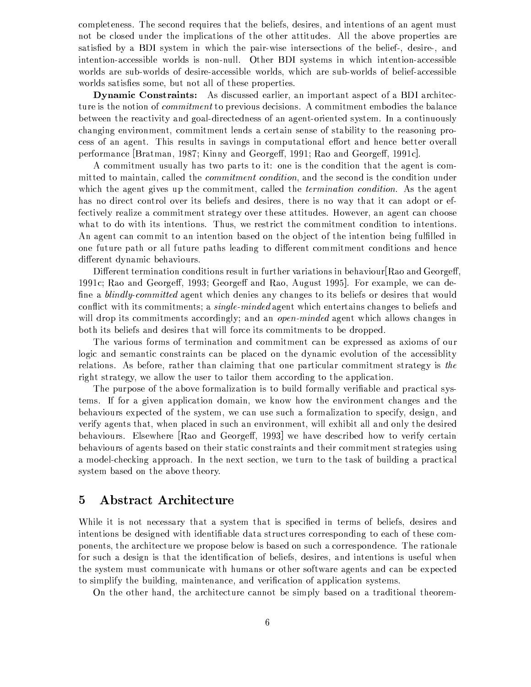completeness. The second requires that the beliefs, desires, and intentions of an agent must not be closed under the implications of the other attitudes. All the above properties are satisfied by a BDI system in which the pair-wise intersections of the belief-, desire-, and intention-accessible worlds is non-null. Other BDI systems in which intention-accessible worlds are sub-worlds of desire-accessible worlds, which are sub-worlds of belief-accessible worlds satisfies some, but not all of these properties.

**Dynamic Constraints:** As discussed earlier, an important aspect of a BDI architecture is the notion of *commitment* to previous decisions. A commitment embodies the balance between the reactivity and goal-directedness of an agent-oriented system. In a continuously changing environment, commitment lends a certain sense of stability to the reasoning process of an agent. This results in savings in computational effort and hence better overall performance Bratman, 1987; Kinny and Georgeff, 1991; Rao and Georgeff, 1991c.

A commitment usually has two parts to it: one is the condition that the agent is committed to maintain, called the *commitment condition*, and the second is the condition under which the agent gives up the commitment, called the *termination condition*. As the agent has no direct control over its beliefs and desires, there is no way that it can adopt or effectively realize a commitment strategy over these attitudes. However, an agent can choose what to do with its intentions. Thus, we restrict the commitment condition to intentions. An agent can commit to an intention based on the object of the intention being fulfilled in one future path or all future paths leading to different commitment conditions and hence different dynamic behaviours.

Different termination conditions result in further variations in behaviour Rao and Georgeff, 1991c; Rao and Georgeff, 1993; Georgeff and Rao, August 1995. For example, we can define a *blindly-committed* agent which denies any changes to its beliefs or desires that would conflict with its commitments; a *single-minded* agent which entertains changes to beliefs and will drop its commitments accordingly; and an *open-minded* agent which allows changes in both its beliefs and desires that will force its commitments to be dropped.

The various forms of termination and commitment can be expressed as axioms of our logic and semantic constraints can be placed on the dynamic evolution of the accessibility relations. As before, rather than claiming that one particular commitment strategy is the right strategy, we allow the user to tailor them according to the application.

The purpose of the above formalization is to build formally verifiable and practical systems. If for a given application domain, we know how the environment changes and the behaviours expected of the system, we can use such a formalization to specify, design, and verify agents that, when placed in such an environment, will exhibit all and only the desired behaviours. Elsewhere Rao and Georgeff, 1993 we have described how to verify certain behaviours of agents based on their static constraints and their commitment strategies using a model-checking approach. In the next section, we turn to the task of building a practical system based on the above theory.

#### $\overline{5}$ **Abstract Architecture**

While it is not necessary that a system that is specified in terms of beliefs, desires and intentions be designed with identifiable data structures corresponding to each of these components, the architecture we propose below is based on such a correspondence. The rationale for such a design is that the identification of beliefs, desires, and intentions is useful when the system must communicate with humans or other software agents and can be expected to simplify the building, maintenance, and verification of application systems.

On the other hand, the architecture cannot be simply based on a traditional theorem-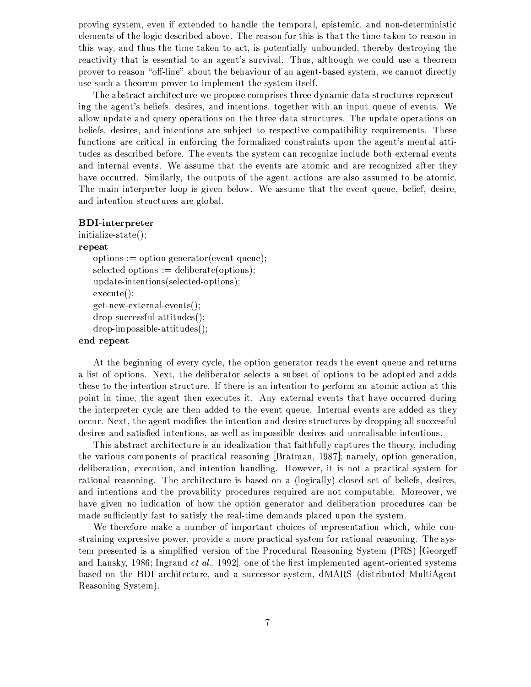proving system, even if extended to handle the temporal, epistemic, and non-deterministic elements of the logic described above. The reason for this is that the time taken to reason in this way, and thus the time taken to act, is potentially unbounded, thereby destroying the reactivity that is essential to an agent's survival. Thus, although we could use a theorem prover to reason "off-line" about the behaviour of an agent-based system, we cannot directly use such a theorem prover to implement the system itself.

The abstract architecture we propose comprises three dynamic data structures representing the agent's beliefs, desires, and intentions, together with an input queue of events. We allow update and query operations on the three data structures. The update operations on beliefs, desires, and intentions are subject to respective compatibility requirements. These functions are critical in enforcing the formalized constraints upon the agent's mental attitudes as described before. The events the system can recognize include both external events and internal events. We assume that the events are atomic and are recognized after they have occurred. Similarly, the outputs of the agent-actions-are also assumed to be atomic. The main interpreter loop is given below. We assume that the event queue, belief, desire, and intention structures are global.

## **BDI-interpreter**

```
initialize-state();
repeat
   options := option-generation(event-queue);selected-options := deliberate(options);
   update-intentions(selected-options);
   \text{execute}:
   get-new-external-events();
   drop-successful-attitudes();
   drop-impossible-attitudes();
```
## end repeat

At the beginning of every cycle, the option generator reads the event queue and returns a list of options. Next, the deliberator selects a subset of options to be adopted and adds these to the intention structure. If there is an intention to perform an atomic action at this point in time, the agent then executes it. Any external events that have occurred during the interpreter cycle are then added to the event queue. Internal events are added as they occur. Next, the agent modifies the intention and desire structures by dropping all successful desires and satisfied intentions, as well as impossible desires and unrealisable intentions.

This abstract architecture is an idealization that faithfully captures the theory, including the various components of practical reasoning Bratman, 1987; namely, option generation, deliberation, execution, and intention handling. However, it is not a practical system for rational reasoning. The architecture is based on a (logically) closed set of beliefs, desires, and intentions and the provability procedures required are not computable. Moreover, we have given no indication of how the option generator and deliberation procedures can be made sufficiently fast to satisfy the real-time demands placed upon the system.

We therefore make a number of important choices of representation which, while constraining expressive power, provide a more practical system for rational reasoning. The system presented is a simplified version of the Procedural Reasoning System (PRS) Georgeff and Lansky, 1986; Ingrand *et al.*, 1992], one of the first implemented agent-oriented systems based on the BDI architecture, and a successor system, dMARS (distributed MultiAgent Reasoning System).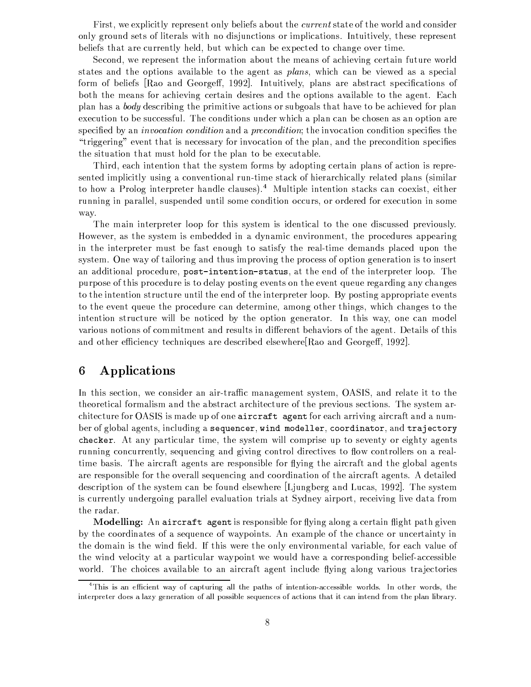First, we explicitly represent only beliefs about the *current* state of the world and consider only ground sets of literals with no disjunctions or implications. Intuitively, these represent beliefs that are currently held, but which can be expected to change over time.

Second, we represent the information about the means of achieving certain future world states and the options available to the agent as *plans*, which can be viewed as a special form of beliefs Rao and Georgeff, 1992. Intuitively, plans are abstract specifications of both the means for achieving certain desires and the options available to the agent. Each plan has a *body* describing the primitive actions or subgoals that have to be achieved for plan execution to be successful. The conditions under which a plan can be chosen as an option are specified by an *invocation condition* and a *precondition*; the invocation condition specifies the "triggering" event that is necessary for invocation of the plan, and the precondition specifies the situation that must hold for the plan to be executable.

Third, each intention that the system forms by adopting certain plans of action is represented implicitly using a conventional run-time stack of hierarchically related plans (similar to how a Prolog interpreter handle clauses).<sup>4</sup> Multiple intention stacks can coexist, either running in parallel, suspended until some condition occurs, or ordered for execution in some way.

The main interpreter loop for this system is identical to the one discussed previously. However, as the system is embedded in a dynamic environment, the procedures appearing in the interpreter must be fast enough to satisfy the real-time demands placed upon the system. One way of tailoring and thus improving the process of option generation is to insert an additional procedure, post-intention-status, at the end of the interpreter loop. The purpose of this procedure is to delay posting events on the event queue regarding any changes to the intention structure until the end of the interpreter loop. By posting appropriate events to the event queue the procedure can determine, among other things, which changes to the intention structure will be noticed by the option generator. In this way, one can model various notions of commitment and results in different behaviors of the agent. Details of this and other efficiency techniques are described elsewhere Rao and Georgeff, 1992.

### Applications 6

In this section, we consider an air-traffic management system, OASIS, and relate it to the theoretical formalism and the abstract architecture of the previous sections. The system architecture for OASIS is made up of one aircraft agent for each arriving aircraft and a number of global agents, including a sequencer, wind modeller, coordinator, and trajectory checker. At any particular time, the system will comprise up to seventy or eighty agents running concurrently, sequencing and giving control directives to flow controllers on a realtime basis. The aircraft agents are responsible for flying the aircraft and the global agents are responsible for the overall sequencing and coordination of the aircraft agents. A detailed description of the system can be found elsewhere  $[Ljungberg and Lucas, 1992]$ . The system is currently undergoing parallel evaluation trials at Sydney airport, receiving live data from the radar.

**Modelling:** An aircraft agent is responsible for flying along a certain flight path given by the coordinates of a sequence of waypoints. An example of the chance or uncertainty in the domain is the wind field. If this were the only environmental variable, for each value of the wind velocity at a particular waypoint we would have a corresponding belief-accessible world. The choices available to an aircraft agent include flying along various trajectories

<sup>&</sup>lt;sup>4</sup>This is an efficient way of capturing all the paths of intention-accessible worlds. In other words, the interpreter does a lazy generation of all possible sequences of actions that it can intend from the plan library.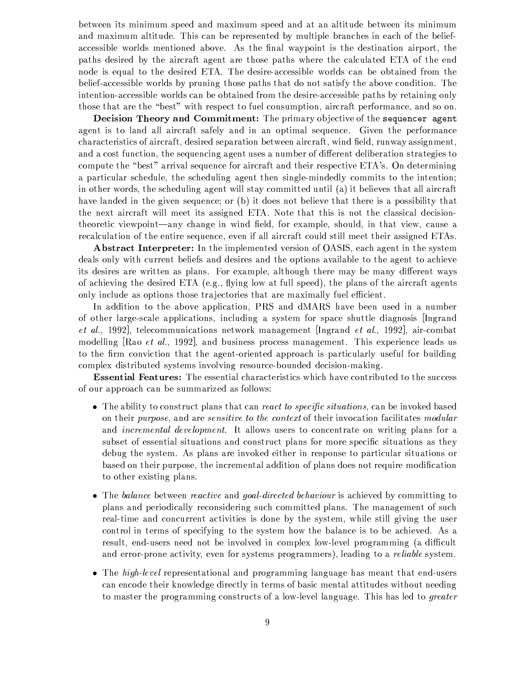between its minimum speed and maximum speed and at an altitude between its minimum and maximum altitude. This can be represented by multiple branches in each of the beliefaccessible worlds mentioned above. As the final waypoint is the destination airport, the paths desired by the aircraft agent are those paths where the calculated ETA of the end node is equal to the desired ETA. The desire-accessible worlds can be obtained from the belief-accessible worlds by pruning those paths that do not satisfy the above condition. The intention-accessible worlds can be obtained from the desire-accessible paths by retaining only those that are the "best" with respect to fuel consumption, aircraft performance, and so on.

**Decision Theory and Commitment:** The primary objective of the sequencer agent agent is to land all aircraft safely and in an optimal sequence. Given the performance characteristics of aircraft, desired separation between aircraft, wind field, runway assignment, and a cost function, the sequencing agent uses a number of different deliberation strategies to compute the "best" arrival sequence for aircraft and their respective ETA's. On determining a particular schedule, the scheduling agent then single-mindedly commits to the intention; in other words, the scheduling agent will stay committed until (a) it believes that all aircraft have landed in the given sequence; or (b) it does not believe that there is a possibility that the next aircraft will meet its assigned ETA. Note that this is not the classical decisiontheoretic viewpoint—any change in wind field, for example, should, in that view, cause a recalculation of the entire sequence, even if all aircraft could still meet their assigned ETAs.

Abstract Interpreter: In the implemented version of OASIS, each agent in the system deals only with current beliefs and desires and the options available to the agent to achieve its desires are written as plans. For example, although there may be many different ways of achieving the desired ETA (e.g., flying low at full speed), the plans of the aircraft agents only include as options those trajectories that are maximally fuel efficient.

In addition to the above application, PRS and dMARS have been used in a number of other large-scale applications, including a system for space shuttle diagnosis [Ingrand] *et al.*, 1992, telecommunications network management [Ingrand *et al.*, 1992], air-combat modelling [Rao *et al.*, 1992], and business process management. This experience leads us to the firm conviction that the agent-oriented approach is particularly useful for building complex distributed systems involving resource-bounded decision-making.

**Essential Features:** The essential characteristics which have contributed to the success of our approach can be summarized as follows:

- The ability to construct plans that can react to specific situations, can be invoked based on their *purpose*, and are *sensitive to the context* of their invocation facilitates modular and *incremental development*. It allows users to concentrate on writing plans for a subset of essential situations and construct plans for more specific situations as they debug the system. As plans are invoked either in response to particular situations or based on their purpose, the incremental addition of plans does not require modification to other existing plans.
- The balance between reactive and goal-directed behaviour is achieved by committing to plans and periodically reconsidering such committed plans. The management of such real-time and concurrent activities is done by the system, while still giving the user control in terms of specifying to the system how the balance is to be achieved. As a result, end-users need not be involved in complex low-level programming (a difficult and error-prone activity, even for systems programmers), leading to a *reliable* system.
- $\bullet$  The *high-level* representational and programming language has meant that end-users can encode their knowledge directly in terms of basic mental attitudes without needing to master the programming constructs of a low-level language. This has led to *greater*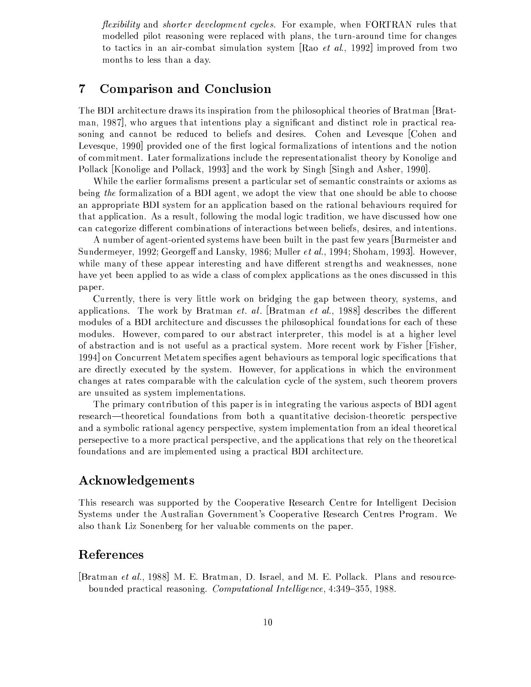*flexibility* and *shorter development cycles*. For example, when FORTRAN rules that modelled pilot reasoning were replaced with plans, the turn-around time for changes to tactics in an air-combat simulation system [Rao *et al.*, 1992] improved from two months to less than a day.

### **Comparison and Conclusion**  $\bf 7$

The BDI architecture draws its inspiration from the philosophical theories of Bratman Bratman, 1987, who argues that intentions play a significant and distinct role in practical reasoning and cannot be reduced to beliefs and desires. Cohen and Levesque Cohen and Levesque, 1990 provided one of the first logical formalizations of intentions and the notion of commitment. Later formalizations include the representationalist theory by Konolige and Pollack Konolige and Pollack, 1993 and the work by Singh Singh and Asher, 1990.

While the earlier formalisms present a particular set of semantic constraints or axioms as being the formalization of a BDI agent, we adopt the view that one should be able to choose an appropriate BDI system for an application based on the rational behaviours required for that application. As a result, following the modal logic tradition, we have discussed how one can categorize different combinations of interactions between beliefs, desires, and intentions.

A number of agent-oriented systems have been built in the past few years Burmeister and Sundermeyer, 1992; Georgeff and Lansky, 1986; Muller *et al.*, 1994; Shoham, 1993]. However, while many of these appear interesting and have different strengths and weaknesses, none have yet been applied to as wide a class of complex applications as the ones discussed in this paper.

Currently, there is very little work on bridging the gap between theory, systems, and applications. The work by Bratman *et. al.* [Bratman *et al.*, 1988] describes the different modules of a BDI architecture and discusses the philosophical foundations for each of these modules. However, compared to our abstract interpreter, this model is at a higher level of abstraction and is not useful as a practical system. More recent work by Fisher [Fisher, 1994] on Concurrent Metatem specifies agent behaviours as temporal logic specifications that are directly executed by the system. However, for applications in which the environment changes at rates comparable with the calculation cycle of the system, such theorem provers are unsuited as system implementations.

The primary contribution of this paper is in integrating the various aspects of BDI agent research—theoretical foundations from both a quantitative decision-theoretic perspective and a symbolic rational agency perspective, system implementation from an ideal theoretical persepective to a more practical perspective, and the applications that rely on the theoretical foundations and are implemented using a practical BDI architecture.

# Acknowledgements

This research was supported by the Cooperative Research Centre for Intelligent Decision Systems under the Australian Government's Cooperative Research Centres Program. We also thank Liz Sonenberg for her valuable comments on the paper.

# References

[Bratman et al., 1988] M. E. Bratman, D. Israel, and M. E. Pollack. Plans and resourcebounded practical reasoning. Computational Intelligence, 4:349-355, 1988.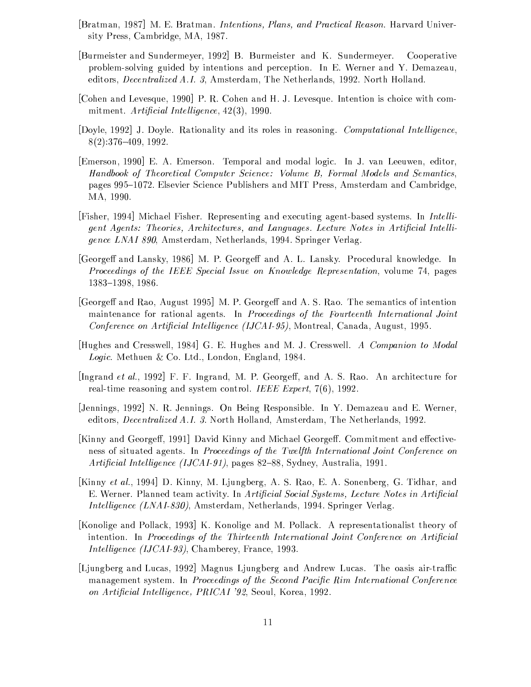- Bratman, 1987 M. E. Bratman. Intentions, Plans, and Practical Reason. Harvard University Press, Cambridge, MA, 1987.
- Burmeister and Sundermeyer, 1992 B. Burmeister and K. Sundermeyer. Cooperative problem-solving guided by intentions and perception. In E. Werner and Y. Demazeau, editors, *Decentralized A.I. 3*, Amsterdam, The Netherlands, 1992. North Holland.
- [Cohen and Levesque, 1990] P. R. Cohen and H. J. Levesque. Intention is choice with commitment. Artificial Intelligence, 42(3), 1990.
- Doyle, 1992 J. Doyle. Rationality and its roles in reasoning. Computational Intelligence,  $8(2):376-409,1992.$
- [Emerson, 1990] E. A. Emerson. Temporal and modal logic. In J. van Leeuwen, editor, Handbook of Theoretical Computer Science: Volume B, Formal Models and Semantics, pages 995–1072. Elsevier Science Publishers and MIT Press, Amsterdam and Cambridge, MA, 1990.
- [Fisher, 1994] Michael Fisher. Representing and executing agent-based systems. In *Intelli*gent Agents: Theories, Architectures, and Languages. Lecture Notes in Artificial Intelligence LNAI 890, Amsterdam, Netherlands, 1994. Springer Verlag.
- Georgeff and Lansky, 1986 M. P. Georgeff and A. L. Lansky. Procedural knowledge. In Proceedings of the IEEE Special Issue on Knowledge Representation, volume 74, pages 1383-1398, 1986.
- Georgeff and Rao, August 1995 M. P. Georgeff and A. S. Rao. The semantics of intention maintenance for rational agents. In Proceedings of the Fourteenth International Joint Conference on Artificial Intelligence (IJCAI-95), Montreal, Canada, August, 1995.
- Hughes and Cresswell, 1984 G. E. Hughes and M. J. Cresswell. A Companion to Modal Logic. Methuen & Co. Ltd., London, England, 1984.
- [Ingrand et al., 1992] F. F. Ingrand, M. P. Georgeff, and A. S. Rao. An architecture for real-time reasoning and system control. IEEE Expert,  $7(6)$ , 1992.
- [Jennings, 1992] N. R. Jennings. On Being Responsible. In Y. Demazeau and E. Werner, editors, *Decentralized A.I. 3.* North Holland, Amsterdam, The Netherlands, 1992.
- [Kinny and Georgeff, 1991] David Kinny and Michael Georgeff. Commitment and effectiveness of situated agents. In *Proceedings of the Twelfth International Joint Conference on* Artificial Intelligence (IJCAI-91), pages 82-88, Sydney, Australia, 1991.
- [Kinny et al., 1994] D. Kinny, M. Ljungberg, A. S. Rao, E. A. Sonenberg, G. Tidhar, and E. Werner. Planned team activity. In Artificial Social Systems, Lecture Notes in Artificial *Intelligence (LNAI-830)*, Amsterdam, Netherlands, 1994. Springer Verlag.
- [Konolige and Pollack, 1993] K. Konolige and M. Pollack. A representationalist theory of intention. In Proceedings of the Thirteenth International Joint Conference on Artificial *Intelligence (IJCAI-93)*, Chamberey, France, 1993.
- Ljungberg and Lucas, 1992 Magnus Ljungberg and Andrew Lucas. The oasis air-traffic management system. In Proceedings of the Second Pacific Rim International Conference on Artificial Intelligence, PRICAI '92, Seoul, Korea, 1992.